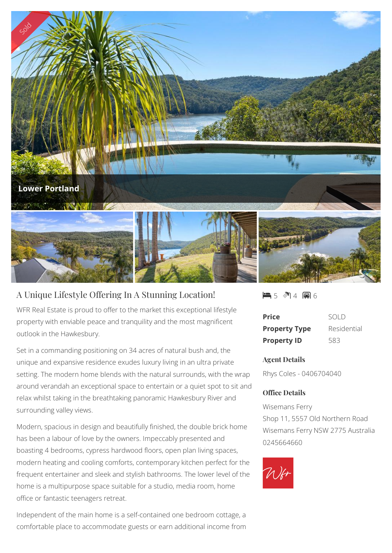

## A Unique Lifestyle Offering In A Stunning Location!

WFR Real Estate is proud to offer to the market this exceptional lifestyle property with enviable peace and tranquility and the most magnificent outlook in the Hawkesbury.

Set in a commanding positioning on 34 acres of natural bush and, the unique and expansive residence exudes luxury living in an ultra private setting. The modern home blends with the natural surrounds, with the wrap around verandah an exceptional space to entertain or a quiet spot to sit and relax whilst taking in the breathtaking panoramic Hawkesbury River and surrounding valley views.

Modern, spacious in design and beautifully finished, the double brick home has been a labour of love by the owners. Impeccably presented and boasting 4 bedrooms, cypress hardwood floors, open plan living spaces, modern heating and cooling comforts, contemporary kitchen perfect for the frequent entertainer and sleek and stylish bathrooms. The lower level of the home is a multipurpose space suitable for a studio, media room, home office or fantastic teenagers retreat.

Independent of the main home is a self-contained one bedroom cottage, a comfortable place to accommodate guests or earn additional income from

5 4 6

| <b>Price</b>         | SOLD        |
|----------------------|-------------|
| <b>Property Type</b> | Residential |
| <b>Property ID</b>   | 583         |

## **Agent Details**

Rhys Coles - 0406704040

## **Office Details**

Wisemans Ferry Shop 11, 5557 Old Northern Road Wisemans Ferry NSW 2775 Australia 0245664660